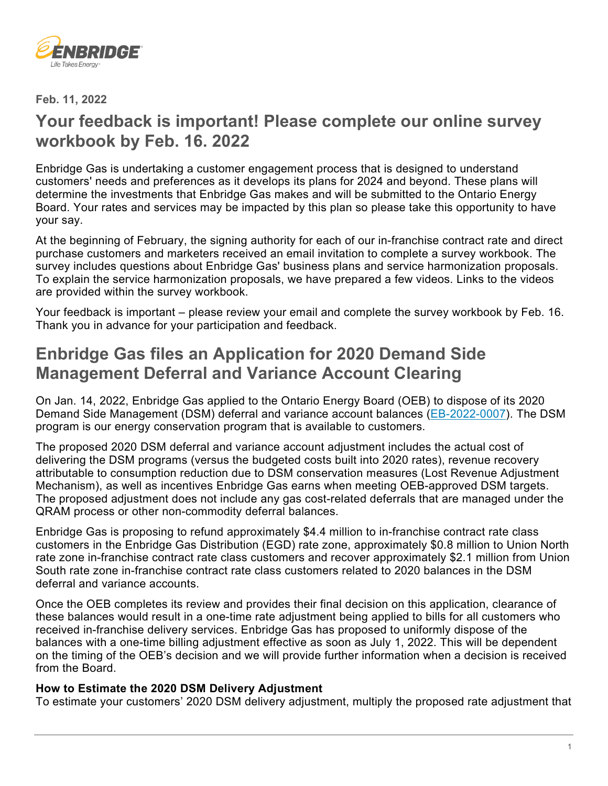

**Feb. 11, 2022** 

# **Your feedback is important! Please complete our online survey workbook by Feb. 16. 2022**

Enbridge Gas is undertaking a customer engagement process that is designed to understand customers' needs and preferences as it develops its plans for 2024 and beyond. These plans will determine the investments that Enbridge Gas makes and will be submitted to the Ontario Energy Board. Your rates and services may be impacted by this plan so please take this opportunity to have your say.

At the beginning of February, the signing authority for each of our in-franchise contract rate and direct purchase customers and marketers received an email invitation to complete a survey workbook. The survey includes questions about Enbridge Gas' business plans and service harmonization proposals. To explain the service harmonization proposals, we have prepared a few videos. Links to the videos are provided within the survey workbook.

Your feedback is important – please review your email and complete the survey workbook by Feb. 16. Thank you in advance for your participation and feedback.

# **Enbridge Gas files an Application for 2020 Demand Side Management Deferral and Variance Account Clearing**

On Jan. 14, 2022, Enbridge Gas applied to the Ontario Energy Board (OEB) to dispose of its 2020 Demand Side Management (DSM) deferral and variance account balances [\(EB-2022-0007\)](https://www.enbridgegas.com/about-enbridge-gas/regulatory). The DSM program is our energy conservation program that is available to customers.

The proposed 2020 DSM deferral and variance account adjustment includes the actual cost of delivering the DSM programs (versus the budgeted costs built into 2020 rates), revenue recovery attributable to consumption reduction due to DSM conservation measures (Lost Revenue Adjustment Mechanism), as well as incentives Enbridge Gas earns when meeting OEB-approved DSM targets. The proposed adjustment does not include any gas cost-related deferrals that are managed under the QRAM process or other non-commodity deferral balances.

Enbridge Gas is proposing to refund approximately \$4.4 million to in-franchise contract rate class customers in the Enbridge Gas Distribution (EGD) rate zone, approximately \$0.8 million to Union North rate zone in-franchise contract rate class customers and recover approximately \$2.1 million from Union South rate zone in-franchise contract rate class customers related to 2020 balances in the DSM deferral and variance accounts.

Once the OEB completes its review and provides their final decision on this application, clearance of these balances would result in a one-time rate adjustment being applied to bills for all customers who received in-franchise delivery services. Enbridge Gas has proposed to uniformly dispose of the balances with a one-time billing adjustment effective as soon as July 1, 2022. This will be dependent on the timing of the OEB's decision and we will provide further information when a decision is received from the Board.

#### **How to Estimate the 2020 DSM Delivery Adjustment**

To estimate your customers' 2020 DSM delivery adjustment, multiply the proposed rate adjustment that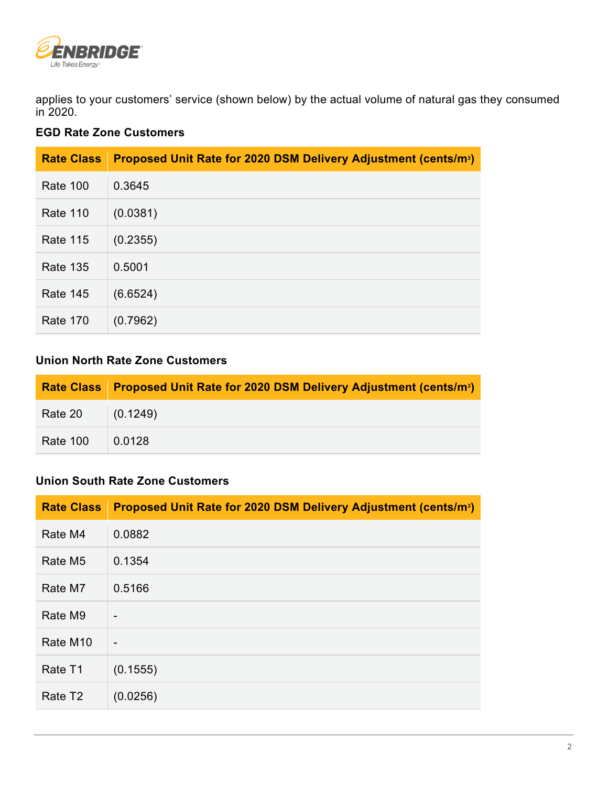

applies to your customers' service (shown below) by the actual volume of natural gas they consumed in 2020.

## **EGD Rate Zone Customers**

| <b>Rate Class</b> | Proposed Unit Rate for 2020 DSM Delivery Adjustment (cents/m <sup>3</sup> ) |
|-------------------|-----------------------------------------------------------------------------|
| <b>Rate 100</b>   | 0.3645                                                                      |
| <b>Rate 110</b>   | (0.0381)                                                                    |
| <b>Rate 115</b>   | (0.2355)                                                                    |
| <b>Rate 135</b>   | 0.5001                                                                      |
| <b>Rate 145</b>   | (6.6524)                                                                    |
| <b>Rate 170</b>   | (0.7962)                                                                    |

## **Union North Rate Zone Customers**

|                   | Rate Class Proposed Unit Rate for 2020 DSM Delivery Adjustment (cents/m <sup>3</sup> ) |
|-------------------|----------------------------------------------------------------------------------------|
| Rate 20 (0.1249)  |                                                                                        |
| Rate 100   0.0128 |                                                                                        |

#### **Union South Rate Zone Customers**

| <b>Rate Class</b>    | Proposed Unit Rate for 2020 DSM Delivery Adjustment (cents/m <sup>3</sup> ) |
|----------------------|-----------------------------------------------------------------------------|
| Rate M4              | 0.0882                                                                      |
| Rate M <sub>5</sub>  | 0.1354                                                                      |
| Rate M7              | 0.5166                                                                      |
| Rate M9              | $\blacksquare$                                                              |
| Rate M <sub>10</sub> | -                                                                           |
| Rate T1              | (0.1555)                                                                    |
| Rate T <sub>2</sub>  | (0.0256)                                                                    |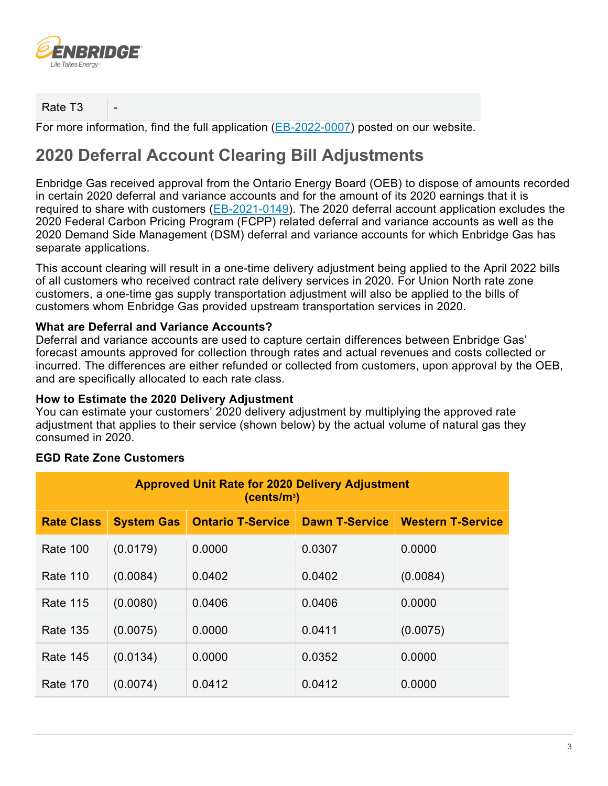

Rate T<sub>3</sub>

For more information, find the full application [\(EB-2022-0007\)](https://www.enbridgegas.com/about-enbridge-gas/regulatory) posted on our website.

# **2020 Deferral Account Clearing Bill Adjustments**

Enbridge Gas received approval from the Ontario Energy Board (OEB) to dispose of amounts recorded in certain 2020 deferral and variance accounts and for the amount of its 2020 earnings that it is required to share with customers [\(EB-2021-0149\)](https://www.enbridgegas.com/about-enbridge-gas/regulatory). The 2020 deferral account application excludes the 2020 Federal Carbon Pricing Program (FCPP) related deferral and variance accounts as well as the 2020 Demand Side Management (DSM) deferral and variance accounts for which Enbridge Gas has separate applications.

This account clearing will result in a one-time delivery adjustment being applied to the April 2022 bills of all customers who received contract rate delivery services in 2020. For Union North rate zone customers, a one-time gas supply transportation adjustment will also be applied to the bills of customers whom Enbridge Gas provided upstream transportation services in 2020.

## **What are Deferral and Variance Accounts?**

Deferral and variance accounts are used to capture certain differences between Enbridge Gas' forecast amounts approved for collection through rates and actual revenues and costs collected or incurred. The differences are either refunded or collected from customers, upon approval by the OEB, and are specifically allocated to each rate class.

#### **How to Estimate the 2020 Delivery Adjustment**

You can estimate your customers' 2020 delivery adjustment by multiplying the approved rate adjustment that applies to their service (shown below) by the actual volume of natural gas they consumed in 2020.

| <b>Approved Unit Rate for 2020 Delivery Adjustment</b><br>(cents/m <sup>3</sup> ) |                   |                          |                       |                          |
|-----------------------------------------------------------------------------------|-------------------|--------------------------|-----------------------|--------------------------|
| <b>Rate Class</b>                                                                 | <b>System Gas</b> | <b>Ontario T-Service</b> | <b>Dawn T-Service</b> | <b>Western T-Service</b> |
| Rate 100                                                                          | (0.0179)          | 0.0000                   | 0.0307                | 0.0000                   |
| Rate 110                                                                          | (0.0084)          | 0.0402                   | 0.0402                | (0.0084)                 |
| Rate 115                                                                          | (0.0080)          | 0.0406                   | 0.0406                | 0.0000                   |
| <b>Rate 135</b>                                                                   | (0.0075)          | 0.0000                   | 0.0411                | (0.0075)                 |
| <b>Rate 145</b>                                                                   | (0.0134)          | 0.0000                   | 0.0352                | 0.0000                   |
| <b>Rate 170</b>                                                                   | (0.0074)          | 0.0412                   | 0.0412                | 0.0000                   |

#### **EGD Rate Zone Customers**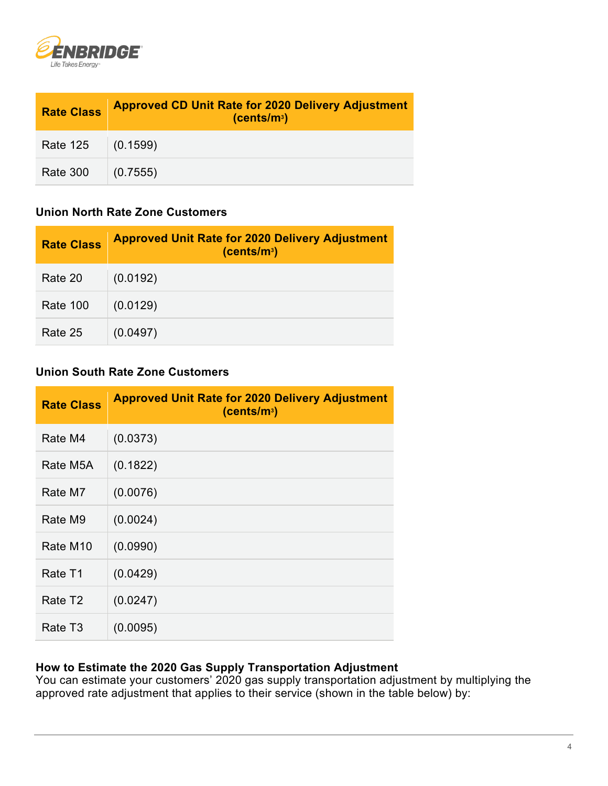

| <b>Rate Class</b> | <b>Approved CD Unit Rate for 2020 Delivery Adjustment</b><br>(cents/m <sup>3</sup> ) |
|-------------------|--------------------------------------------------------------------------------------|
| <b>Rate 125</b>   | (0.1599)                                                                             |
| <b>Rate 300</b>   | (0.7555)                                                                             |

# **Union North Rate Zone Customers**

| <b>Rate Class</b> | <b>Approved Unit Rate for 2020 Delivery Adjustment</b><br>(cents/m <sup>3</sup> ) |
|-------------------|-----------------------------------------------------------------------------------|
| Rate 20           | (0.0192)                                                                          |
| <b>Rate 100</b>   | (0.0129)                                                                          |
| Rate 25           | (0.0497)                                                                          |

## **Union South Rate Zone Customers**

| <b>Rate Class</b>    | <b>Approved Unit Rate for 2020 Delivery Adjustment</b><br>(cents/m <sup>3</sup> ) |
|----------------------|-----------------------------------------------------------------------------------|
| Rate M4              | (0.0373)                                                                          |
| Rate M5A             | (0.1822)                                                                          |
| Rate M7              | (0.0076)                                                                          |
| Rate M9              | (0.0024)                                                                          |
| Rate M <sub>10</sub> | (0.0990)                                                                          |
| Rate T1              | (0.0429)                                                                          |
| Rate T2              | (0.0247)                                                                          |
| Rate T3              | (0.0095)                                                                          |

# **How to Estimate the 2020 Gas Supply Transportation Adjustment**

You can estimate your customers' 2020 gas supply transportation adjustment by multiplying the approved rate adjustment that applies to their service (shown in the table below) by: